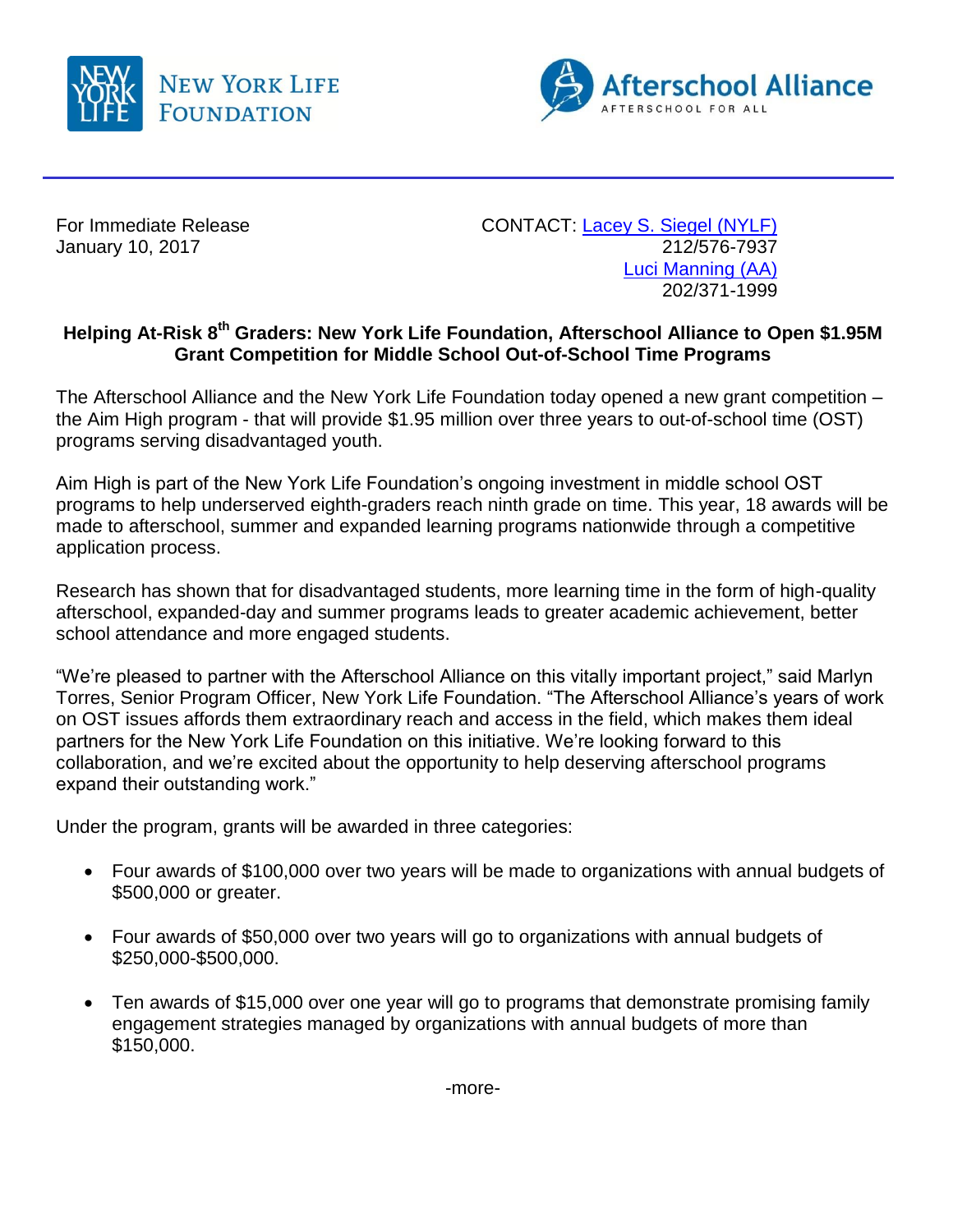



January 10, 2017

For Immediate Release CONTACT: [Lacey S. Siegel \(NYLF\)](mailto:lacey_s_siegel@newyorklife.com?subject=New%20York%20Life%20Fdtn/Afterschool%20Alliance)<br>January 10, 2017 2017 [Luci Manning](mailto:luci@prsolutionsdc.com?subject=New%20York%20Life%20Fdtn/Afterschool%20Alliance) (AA) 202/371-1999

## **Helping At-Risk 8th Graders: New York Life Foundation, Afterschool Alliance to Open \$1.95M Grant Competition for Middle School Out-of-School Time Programs**

The Afterschool Alliance and the New York Life Foundation today opened a new grant competition – the Aim High program - that will provide \$1.95 million over three years to out-of-school time (OST) programs serving disadvantaged youth.

Aim High is part of the New York Life Foundation's ongoing investment in middle school OST programs to help underserved eighth-graders reach ninth grade on time. This year, 18 awards will be made to afterschool, summer and expanded learning programs nationwide through a competitive application process.

Research has shown that for disadvantaged students, more learning time in the form of high-quality afterschool, expanded-day and summer programs leads to greater academic achievement, better school attendance and more engaged students.

"We're pleased to partner with the Afterschool Alliance on this vitally important project," said Marlyn Torres, Senior Program Officer, New York Life Foundation. "The Afterschool Alliance's years of work on OST issues affords them extraordinary reach and access in the field, which makes them ideal partners for the New York Life Foundation on this initiative. We're looking forward to this collaboration, and we're excited about the opportunity to help deserving afterschool programs expand their outstanding work."

Under the program, grants will be awarded in three categories:

- Four awards of \$100,000 over two years will be made to organizations with annual budgets of \$500,000 or greater.
- Four awards of \$50,000 over two years will go to organizations with annual budgets of \$250,000-\$500,000.
- Ten awards of \$15,000 over one year will go to programs that demonstrate promising family engagement strategies managed by organizations with annual budgets of more than \$150,000.

-more-